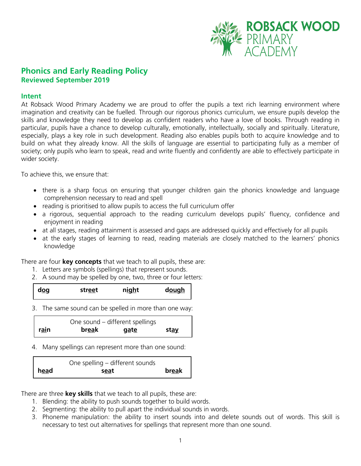

# **Phonics and Early Reading Policy Reviewed September 2019**

#### **Intent**

At Robsack Wood Primary Academy we are proud to offer the pupils a text rich learning environment where imagination and creativity can be fuelled. Through our rigorous phonics curriculum, we ensure pupils develop the skills and knowledge they need to develop as confident readers who have a love of books. Through reading in particular, pupils have a chance to develop culturally, emotionally, intellectually, socially and spiritually. Literature, especially, plays a key role in such development. Reading also enables pupils both to acquire knowledge and to build on what they already know. All the skills of language are essential to participating fully as a member of society; only pupils who learn to speak, read and write fluently and confidently are able to effectively participate in wider society.

To achieve this, we ensure that:

- there is a sharp focus on ensuring that younger children gain the phonics knowledge and language comprehension necessary to read and spell
- reading is prioritised to allow pupils to access the full curriculum offer
- a rigorous, sequential approach to the reading curriculum develops pupils' fluency, confidence and enjoyment in reading
- at all stages, reading attainment is assessed and gaps are addressed quickly and effectively for all pupils
- at the early stages of learning to read, reading materials are closely matched to the learners' phonics knowledge

There are four **key concepts** that we teach to all pupils, these are:

- 1. Letters are symbols (spellings) that represent sounds.
- 2. A sound may be spelled by one, two, three or four letters:

| d <u>og</u><br>str <u>ee</u> t | night | dough |
|--------------------------------|-------|-------|
|--------------------------------|-------|-------|

3. The same sound can be spelled in more than one way:

|      | One sound – different spellings |             |              |
|------|---------------------------------|-------------|--------------|
| rain | break                           | <u>gate</u> | st <u>av</u> |

4. Many spellings can represent more than one sound:

|      | One spelling – different sounds |       |
|------|---------------------------------|-------|
| head | seat                            | break |

There are three **key skills** that we teach to all pupils, these are:

- 1. Blending: the ability to push sounds together to build words.
- 2. Segmenting: the ability to pull apart the individual sounds in words.
- 3. Phoneme manipulation: the ability to insert sounds into and delete sounds out of words. This skill is necessary to test out alternatives for spellings that represent more than one sound.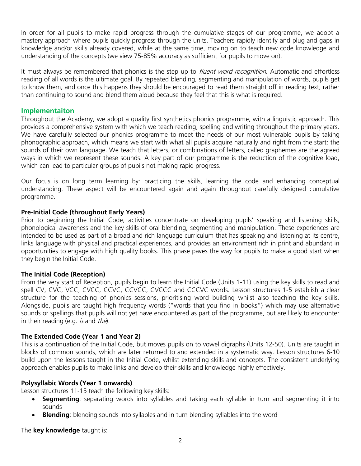In order for all pupils to make rapid progress through the cumulative stages of our programme, we adopt a mastery approach where pupils quickly progress through the units. Teachers rapidly identify and plug and gaps in knowledge and/or skills already covered, while at the same time, moving on to teach new code knowledge and understanding of the concepts (we view 75-85% accuracy as sufficient for pupils to move on).

It must always be remembered that phonics is the step up to *fluent word recognition*. Automatic and effortless reading of all words is the ultimate goal. By repeated blending, segmenting and manipulation of words, pupils get to know them, and once this happens they should be encouraged to read them straight off in reading text, rather than continuing to sound and blend them aloud because they feel that this is what is required.

## **Implementaiton**

Throughout the Academy, we adopt a quality first synthetics phonics programme, with a linguistic approach. This provides a comprehensive system with which we teach reading, spelling and writing throughout the primary years. We have carefully selected our phonics programme to meet the needs of our most vulnerable pupils by taking phonographic approach, which means we start with what all pupils acquire naturally and right from the start: the sounds of their own language. We teach that letters, or combinations of letters, called graphemes are the agreed ways in which we represent these sounds. A key part of our programme is the reduction of the cognitive load, which can lead to particular groups of pupils not making rapid progress.

Our focus is on long term learning by: practicing the skills, learning the code and enhancing conceptual understanding. These aspect will be encountered again and again throughout carefully designed cumulative programme.

### **Pre-Initial Code (throughout Early Years)**

Prior to beginning the Initial Code, activities concentrate on developing pupils' speaking and listening skills, phonological awareness and the key skills of oral blending, segmenting and manipulation. These experiences are intended to be used as part of a broad and rich language curriculum that has speaking and listening at its centre, links language with physical and practical experiences, and provides an environment rich in print and abundant in opportunities to engage with high quality books. This phase paves the way for pupils to make a good start when they begin the Initial Code.

#### **The Initial Code (Reception)**

From the very start of Reception, pupils begin to learn the Initial Code (Units 1-11) using the key skills to read and spell CV, CVC, VCC, CVCC, CCVC, CCVCC, CVCCC and CCCVC words. Lesson structures 1-5 establish a clear structure for the teaching of phonics sessions, prioritising word building whilst also teaching the key skills. Alongside, pupils are taught high frequency words ("words that you find in books") which may use alternative sounds or spellings that pupils will not yet have encountered as part of the programme, but are likely to encounter in their reading (e.g.  $is$  and  $the$ ).

#### **The Extended Code (Year 1 and Year 2)**

This is a continuation of the Initial Code, but moves pupils on to vowel digraphs (Units 12-50). Units are taught in blocks of common sounds, which are later returned to and extended in a systematic way. Lesson structures 6-10 build upon the lessons taught in the Initial Code, whilst extending skills and concepts. The consistent underlying approach enables pupils to make links and develop their skills and knowledge highly effectively.

#### **Polysyllabic Words (Year 1 onwards)**

Lesson structures 11-15 teach the following key skills:

- **Seamenting**: separating words into syllables and taking each syllable in turn and segmenting it into sounds
- **Blending**: blending sounds into syllables and in turn blending syllables into the word

The **key knowledge** taught is: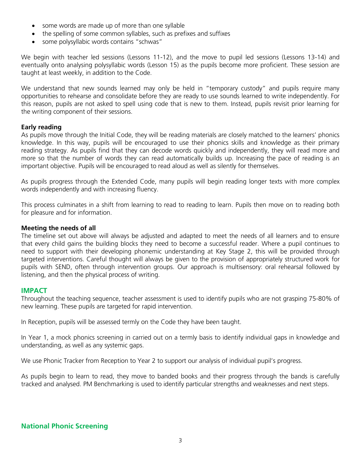- some words are made up of more than one syllable
- the spelling of some common syllables, such as prefixes and suffixes
- some polysyllabic words contains "schwas"

We begin with teacher led sessions (Lessons 11-12), and the move to pupil led sessions (Lessons 13-14) and eventually onto analysing polysyllabic words (Lesson 15) as the pupils become more proficient. These session are taught at least weekly, in addition to the Code.

We understand that new sounds learned may only be held in "temporary custody" and pupils require many opportunities to rehearse and consolidate before they are ready to use sounds learned to write independently. For this reason, pupils are not asked to spell using code that is new to them. Instead, pupils revisit prior learning for the writing component of their sessions.

#### **Early reading**

As pupils move through the Initial Code, they will be reading materials are closely matched to the learners' phonics knowledge. In this way, pupils will be encouraged to use their phonics skills and knowledge as their primary reading strategy. As pupils find that they can decode words quickly and independently, they will read more and more so that the number of words they can read automatically builds up. Increasing the pace of reading is an important objective. Pupils will be encouraged to read aloud as well as silently for themselves.

As pupils progress through the Extended Code, many pupils will begin reading longer texts with more complex words independently and with increasing fluency.

This process culminates in a shift from learning to read to reading to learn. Pupils then move on to reading both for pleasure and for information.

### **Meeting the needs of all**

The timeline set out above will always be adjusted and adapted to meet the needs of all learners and to ensure that every child gains the building blocks they need to become a successful reader. Where a pupil continues to need to support with their developing phonemic understanding at Key Stage 2, this will be provided through targeted interventions. Careful thought will always be given to the provision of appropriately structured work for pupils with SEND, often through intervention groups. Our approach is multisensory: oral rehearsal followed by listening, and then the physical process of writing.

#### **IMPACT**

Throughout the teaching sequence, teacher assessment is used to identify pupils who are not grasping 75-80% of new learning. These pupils are targeted for rapid intervention.

In Reception, pupils will be assessed termly on the Code they have been taught.

In Year 1, a mock phonics screening in carried out on a termly basis to identify individual gaps in knowledge and understanding, as well as any systemic gaps.

We use Phonic Tracker from Reception to Year 2 to support our analysis of individual pupil's progress.

As pupils begin to learn to read, they move to banded books and their progress through the bands is carefully tracked and analysed. PM Benchmarking is used to identify particular strengths and weaknesses and next steps.